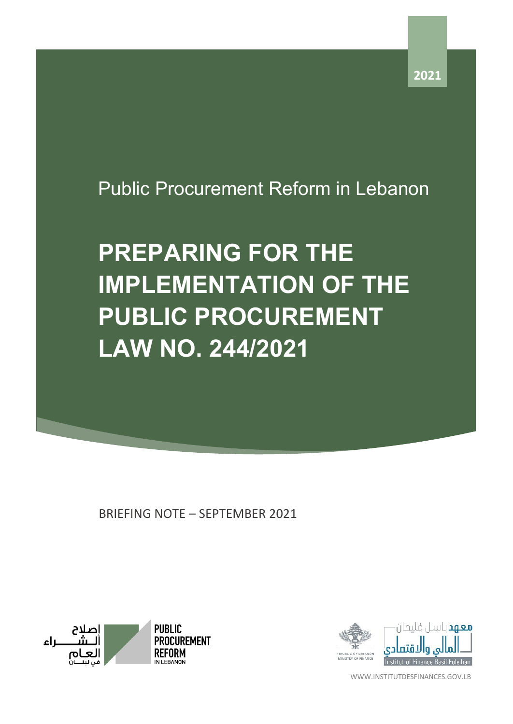## Public Procurement Reform in Lebanon

## **PREPARING FOR THE IMPLEMENTATION OF THE PUBLIC PROCUREMENT LAW NO. 244/2021**

BRIEFING NOTE – SEPTEMBER 2021





WWW.INSTITUTDESFINANCES.GOV.LB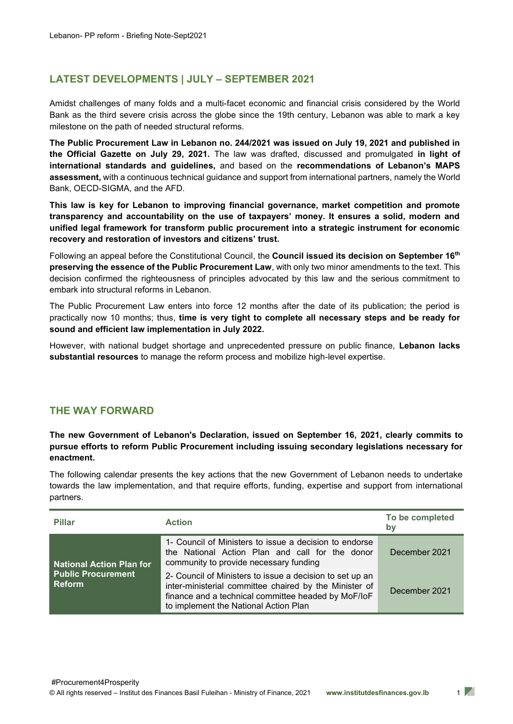## **LATEST DEVELOPMENTS | JULY – SEPTEMBER 2021**

Amidst challenges of many folds and a multi-facet economic and financial crisis considered by the World Bank as the third severe crisis across the globe since the 19th century, Lebanon was able to mark a key milestone on the path of needed structural reforms.

**The Public Procurement Law in Lebanon no. 244/2021 was issued on July 19, 2021 and published in the Official Gazette on July 29, 2021.** The law was drafted, discussed and promulgated **in light of international standards and guidelines,** and based on the **recommendations of Lebanon's MAPS assessment,** with a continuous technical guidance and support from international partners, namely the World Bank, OECD-SIGMA, and the AFD.

**This law is key for Lebanon to improving financial governance, market competition and promote transparency and accountability on the use of taxpayers' money. It ensures a solid, modern and unified legal framework for transform public procurement into a strategic instrument for economic recovery and restoration of investors and citizens' trust.**

Following an appeal before the Constitutional Council, the **Council issued its decision on September 16th preserving the essence of the Public Procurement Law**, with only two minor amendments to the text. This decision confirmed the righteousness of principles advocated by this law and the serious commitment to embark into structural reforms in Lebanon.

The Public Procurement Law enters into force 12 months after the date of its publication; the period is practically now 10 months; thus, **time is very tight to complete all necessary steps and be ready for sound and efficient law implementation in July 2022.**

However, with national budget shortage and unprecedented pressure on public finance, **Lebanon lacks substantial resources** to manage the reform process and mobilize high-level expertise.

## **THE WAY FORWARD**

**The new Government of Lebanon's Declaration, issued on September 16, 2021, clearly commits to pursue efforts to reform Public Procurement including issuing secondary legislations necessary for enactment.** 

The following calendar presents the key actions that the new Government of Lebanon needs to undertake towards the law implementation, and that require efforts, funding, expertise and support from international partners.

| <b>Pillar</b>                                                                 | <b>Action</b>                                                                                                                                                                                                      | To be completed<br>bν |
|-------------------------------------------------------------------------------|--------------------------------------------------------------------------------------------------------------------------------------------------------------------------------------------------------------------|-----------------------|
| <b>National Action Plan for</b><br><b>Public Procurement</b><br><b>Reform</b> | 1- Council of Ministers to issue a decision to endorse<br>the National Action Plan and call for the donor<br>community to provide necessary funding                                                                | December 2021         |
|                                                                               | 2- Council of Ministers to issue a decision to set up an<br>inter-ministerial committee chaired by the Minister of<br>finance and a technical committee headed by MoF/IoF<br>to implement the National Action Plan | December 2021         |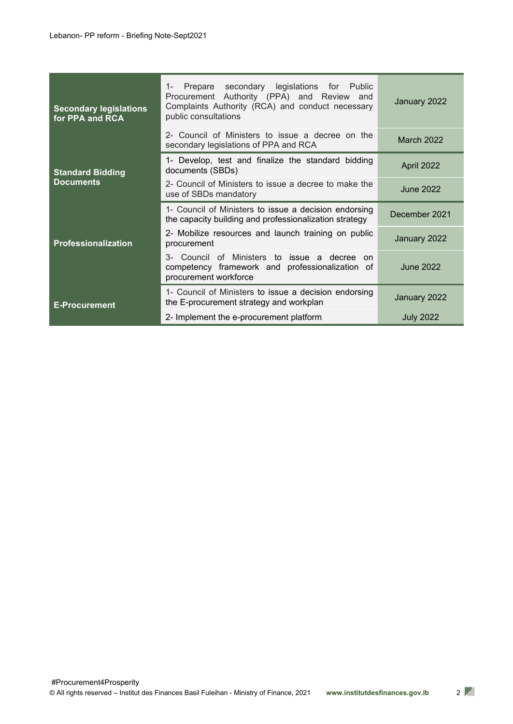| <b>Secondary legislations</b><br>for PPA and RCA | Prepare secondary legislations for Public<br>$1 -$<br>Procurement Authority (PPA) and Review and<br>Complaints Authority (RCA) and conduct necessary<br>public consultations | January 2022     |
|--------------------------------------------------|------------------------------------------------------------------------------------------------------------------------------------------------------------------------------|------------------|
|                                                  | 2- Council of Ministers to issue a decree on the<br>secondary legislations of PPA and RCA                                                                                    | March 2022       |
| <b>Standard Bidding</b><br><b>Documents</b>      | 1- Develop, test and finalize the standard bidding<br>documents (SBDs)                                                                                                       | April 2022       |
|                                                  | 2- Council of Ministers to issue a decree to make the<br>use of SBDs mandatory                                                                                               | <b>June 2022</b> |
| <b>Professionalization</b>                       | 1- Council of Ministers to issue a decision endorsing<br>the capacity building and professionalization strategy                                                              | December 2021    |
|                                                  | 2- Mobilize resources and launch training on public<br>procurement                                                                                                           | January 2022     |
|                                                  | Council of Ministers to issue a decree<br>3-<br>on.<br>competency framework and professionalization of<br>procurement workforce                                              | June 2022        |
| <b>E-Procurement</b>                             | 1- Council of Ministers to issue a decision endorsing<br>the E-procurement strategy and workplan                                                                             | January 2022     |
|                                                  | 2- Implement the e-procurement platform                                                                                                                                      | <b>July 2022</b> |